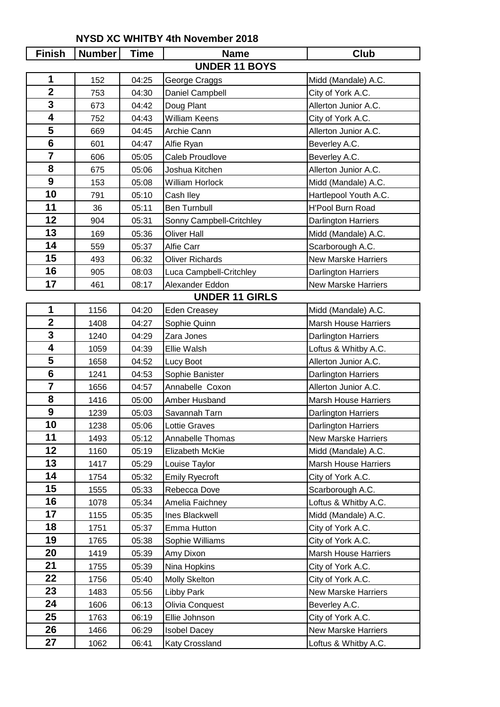## **NYSD XC WHITBY 4th November 2018**

| <b>Finish</b>   | <b>Number</b> | <b>Time</b> | <b>Name</b>              | Club                        |
|-----------------|---------------|-------------|--------------------------|-----------------------------|
|                 |               |             | <b>UNDER 11 BOYS</b>     |                             |
| 1               | 152           | 04:25       | George Craggs            | Midd (Mandale) A.C.         |
| $\overline{2}$  | 753           | 04:30       | Daniel Campbell          | City of York A.C.           |
| 3               | 673           | 04:42       | Doug Plant               | Allerton Junior A.C.        |
| 4               | 752           | 04:43       | <b>William Keens</b>     | City of York A.C.           |
| 5               | 669           | 04:45       | Archie Cann              | Allerton Junior A.C.        |
| 6               | 601           | 04:47       | Alfie Ryan               | Beverley A.C.               |
| $\overline{7}$  | 606           | 05:05       | Caleb Proudlove          | Beverley A.C.               |
| 8               | 675           | 05:06       | Joshua Kitchen           | Allerton Junior A.C.        |
| 9               | 153           | 05:08       | William Horlock          | Midd (Mandale) A.C.         |
| 10              | 791           | 05:10       | Cash Iley                | Hartlepool Youth A.C.       |
| 11              | 36            | 05:11       | <b>Ben Turnbull</b>      | <b>H'Pool Burn Road</b>     |
| 12              | 904           | 05:31       | Sonny Campbell-Critchley | Darlington Harriers         |
| 13              | 169           | 05:36       | <b>Oliver Hall</b>       | Midd (Mandale) A.C.         |
| 14              | 559           | 05:37       | Alfie Carr               | Scarborough A.C.            |
| 15              | 493           | 06:32       | <b>Oliver Richards</b>   | <b>New Marske Harriers</b>  |
| 16              | 905           | 08:03       | Luca Campbell-Critchley  | Darlington Harriers         |
| 17              | 461           | 08:17       | Alexander Eddon          | <b>New Marske Harriers</b>  |
|                 |               |             | <b>UNDER 11 GIRLS</b>    |                             |
| 1               | 1156          | 04:20       | <b>Eden Creasey</b>      | Midd (Mandale) A.C.         |
| $\overline{2}$  | 1408          | 04:27       | Sophie Quinn             | <b>Marsh House Harriers</b> |
| 3               | 1240          | 04:29       | Zara Jones               | Darlington Harriers         |
| 4               | 1059          | 04:39       | Ellie Walsh              | Loftus & Whitby A.C.        |
| 5               | 1658          | 04:52       | Lucy Boot                | Allerton Junior A.C.        |
| $6\phantom{1}6$ | 1241          | 04:53       | Sophie Banister          | Darlington Harriers         |
| $\overline{7}$  | 1656          | 04:57       | Annabelle Coxon          | Allerton Junior A.C.        |
| 8               | 1416          | 05:00       | Amber Husband            | <b>Marsh House Harriers</b> |
| 9               | 1239          | 05:03       | Savannah Tarn            | Darlington Harriers         |
| 10              | 1238          | 05:06       | Lottie Graves            | Darlington Harriers         |
| 11              | 1493          | 05:12       | Annabelle Thomas         | <b>New Marske Harriers</b>  |
| 12              | 1160          | 05:19       | Elizabeth McKie          | Midd (Mandale) A.C.         |
| 13              | 1417          | 05:29       | Louise Taylor            | Marsh House Harriers        |
| 14              | 1754          | 05:32       | <b>Emily Ryecroft</b>    | City of York A.C.           |
| 15              | 1555          | 05:33       | Rebecca Dove             | Scarborough A.C.            |
| 16              | 1078          | 05:34       | Amelia Faichney          | Loftus & Whitby A.C.        |
| 17              | 1155          | 05:35       | Ines Blackwell           | Midd (Mandale) A.C.         |
| 18              | 1751          | 05:37       | Emma Hutton              | City of York A.C.           |
| 19              | 1765          | 05:38       | Sophie Williams          | City of York A.C.           |
| 20              | 1419          | 05:39       | Amy Dixon                | Marsh House Harriers        |
| 21              | 1755          | 05:39       | Nina Hopkins             | City of York A.C.           |
| 22              | 1756          | 05:40       | <b>Molly Skelton</b>     | City of York A.C.           |
| 23              | 1483          | 05:56       | Libby Park               | <b>New Marske Harriers</b>  |
| 24              | 1606          | 06:13       | Olivia Conquest          | Beverley A.C.               |
| 25              | 1763          | 06:19       | Ellie Johnson            | City of York A.C.           |
| 26              | 1466          | 06:29       | <b>Isobel Dacey</b>      | New Marske Harriers         |
| 27              | 1062          | 06:41       | Katy Crossland           | Loftus & Whitby A.C.        |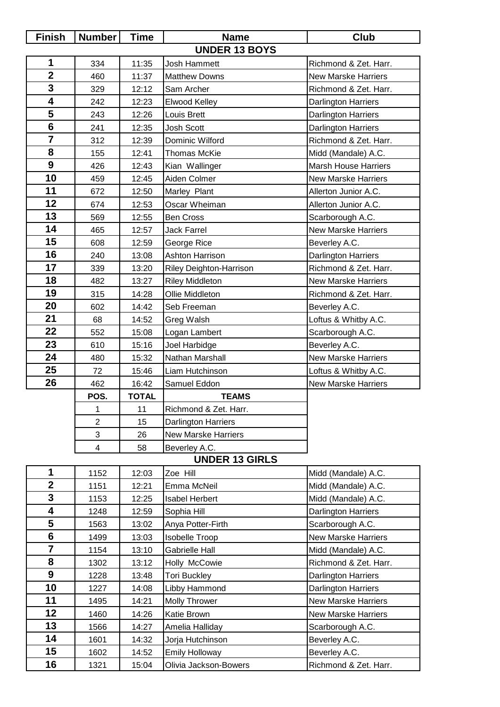| <b>Finish</b>   | <b>Number</b>  | <b>Time</b>  | <b>Name</b>                | Club                        |
|-----------------|----------------|--------------|----------------------------|-----------------------------|
|                 |                |              | <b>UNDER 13 BOYS</b>       |                             |
| $\mathbf 1$     | 334            | 11:35        | Josh Hammett               | Richmond & Zet. Harr.       |
| $\overline{2}$  | 460            | 11:37        | <b>Matthew Downs</b>       | <b>New Marske Harriers</b>  |
| 3               | 329            | 12:12        | Sam Archer                 | Richmond & Zet. Harr.       |
| 4               | 242            | 12:23        | <b>Elwood Kelley</b>       | Darlington Harriers         |
| 5               | 243            | 12:26        | Louis Brett                | Darlington Harriers         |
| $6\phantom{1}6$ | 241            | 12:35        | Josh Scott                 | Darlington Harriers         |
| $\overline{7}$  | 312            | 12:39        | Dominic Wilford            | Richmond & Zet. Harr.       |
| 8               | 155            | 12:41        | <b>Thomas McKie</b>        | Midd (Mandale) A.C.         |
| 9               | 426            | 12:43        | Kian Wallinger             | <b>Marsh House Harriers</b> |
| 10              | 459            | 12:45        | Aiden Colmer               | <b>New Marske Harriers</b>  |
| 11              | 672            | 12:50        | Marley Plant               | Allerton Junior A.C.        |
| 12              | 674            | 12:53        | Oscar Wheiman              | Allerton Junior A.C.        |
| 13              | 569            | 12:55        | <b>Ben Cross</b>           | Scarborough A.C.            |
| 14              | 465            | 12:57        | <b>Jack Farrel</b>         | <b>New Marske Harriers</b>  |
| 15              | 608            | 12:59        | George Rice                | Beverley A.C.               |
| 16              | 240            | 13:08        | <b>Ashton Harrison</b>     | Darlington Harriers         |
| 17              | 339            | 13:20        | Riley Deighton-Harrison    | Richmond & Zet. Harr.       |
| 18              | 482            | 13:27        | <b>Riley Middleton</b>     | <b>New Marske Harriers</b>  |
| 19              | 315            | 14:28        | Ollie Middleton            | Richmond & Zet. Harr.       |
| 20              | 602            | 14:42        | Seb Freeman                | Beverley A.C.               |
| 21              | 68             | 14:52        | Greg Walsh                 | Loftus & Whitby A.C.        |
| 22              | 552            | 15:08        | Logan Lambert              | Scarborough A.C.            |
| 23              | 610            | 15:16        | Joel Harbidge              | Beverley A.C.               |
| 24              | 480            | 15:32        | Nathan Marshall            | <b>New Marske Harriers</b>  |
| 25              | 72             | 15:46        | Liam Hutchinson            | Loftus & Whitby A.C.        |
| 26              | 462            | 16:42        | Samuel Eddon               | <b>New Marske Harriers</b>  |
|                 | POS.           | <b>TOTAL</b> | <b>TEAMS</b>               |                             |
|                 | 1              | 11           | Richmond & Zet. Harr.      |                             |
|                 | $\overline{2}$ | 15           | Darlington Harriers        |                             |
|                 | 3              | 26           | <b>New Marske Harriers</b> |                             |
|                 | $\overline{4}$ | 58           | Beverley A.C.              |                             |
|                 |                |              | <b>UNDER 13 GIRLS</b>      |                             |
| 1               | 1152           | 12:03        | Zoe Hill                   | Midd (Mandale) A.C.         |
| $\overline{2}$  | 1151           | 12:21        | Emma McNeil                | Midd (Mandale) A.C.         |
| 3               | 1153           | 12:25        | <b>Isabel Herbert</b>      | Midd (Mandale) A.C.         |
| 4               | 1248           | 12:59        | Sophia Hill                | Darlington Harriers         |
| 5               | 1563           | 13:02        | Anya Potter-Firth          | Scarborough A.C.            |
| 6               | 1499           | 13:03        | <b>Isobelle Troop</b>      | New Marske Harriers         |
| $\overline{7}$  | 1154           | 13:10        | <b>Gabrielle Hall</b>      | Midd (Mandale) A.C.         |
| 8               | 1302           | 13:12        | Holly McCowie              | Richmond & Zet. Harr.       |
| 9               | 1228           | 13:48        | <b>Tori Buckley</b>        | Darlington Harriers         |
| 10              | 1227           | 14:08        | Libby Hammond              | Darlington Harriers         |
| 11              | 1495           | 14:21        | <b>Molly Thrower</b>       | <b>New Marske Harriers</b>  |
| 12              | 1460           | 14:26        | Katie Brown                | <b>New Marske Harriers</b>  |
| 13              | 1566           | 14:27        | Amelia Halliday            | Scarborough A.C.            |
| 14              | 1601           | 14:32        | Jorja Hutchinson           | Beverley A.C.               |
| 15              | 1602           | 14:52        | <b>Emily Holloway</b>      | Beverley A.C.               |
| 16              | 1321           | 15:04        | Olivia Jackson-Bowers      | Richmond & Zet. Harr.       |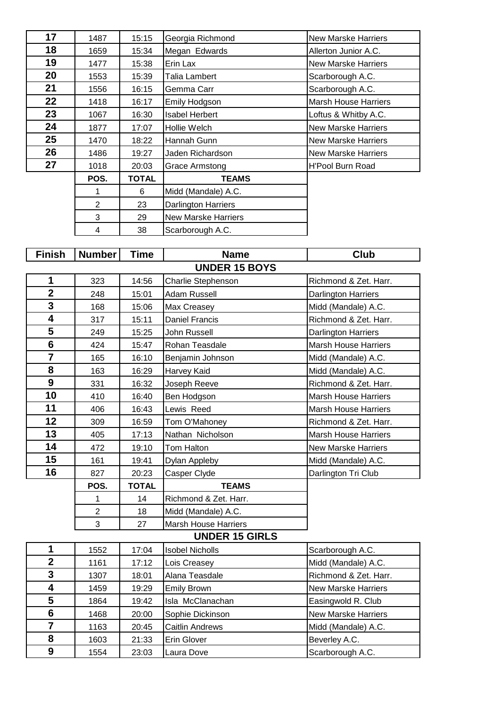| 17 | 1487           | 15:15        | Georgia Richmond           | <b>New Marske Harriers</b>  |
|----|----------------|--------------|----------------------------|-----------------------------|
| 18 | 1659           | 15:34        | Megan Edwards              | Allerton Junior A.C.        |
| 19 | 1477           | 15:38        | Erin Lax                   | <b>New Marske Harriers</b>  |
| 20 | 1553           | 15:39        | Talia Lambert              | Scarborough A.C.            |
| 21 | 1556           | 16:15        | Gemma Carr                 | Scarborough A.C.            |
| 22 | 1418           | 16:17        | <b>Emily Hodgson</b>       | <b>Marsh House Harriers</b> |
| 23 | 1067           | 16:30        | <b>Isabel Herbert</b>      | Loftus & Whitby A.C.        |
| 24 | 1877           | 17:07        | Hollie Welch               | <b>New Marske Harriers</b>  |
| 25 | 1470           | 18:22        | Hannah Gunn                | <b>New Marske Harriers</b>  |
| 26 | 1486           | 19:27        | Jaden Richardson           | <b>New Marske Harriers</b>  |
| 27 | 1018           | 20:03        | Grace Armstong             | <b>H'Pool Burn Road</b>     |
|    | POS.           | <b>TOTAL</b> | <b>TEAMS</b>               |                             |
|    |                | 6            | Midd (Mandale) A.C.        |                             |
|    | $\overline{2}$ | 23           | <b>Darlington Harriers</b> |                             |
|    | 3              | 29           | <b>New Marske Harriers</b> |                             |
|    | 4              | 38           | Scarborough A.C.           |                             |

| <b>Finish</b>           | <b>Number</b>  | Time         | <b>Name</b>                 | <b>Club</b>                 |
|-------------------------|----------------|--------------|-----------------------------|-----------------------------|
|                         |                |              | <b>UNDER 15 BOYS</b>        |                             |
| 1                       | 323            | 14:56        | Charlie Stephenson          | Richmond & Zet. Harr.       |
| $\overline{\mathbf{2}}$ | 248            | 15:01        | <b>Adam Russell</b>         | <b>Darlington Harriers</b>  |
| 3                       | 168            | 15:06        | Max Creasey                 | Midd (Mandale) A.C.         |
| 4                       | 317            | 15:11        | <b>Daniel Francis</b>       | Richmond & Zet. Harr.       |
| 5                       | 249            | 15:25        | John Russell                | <b>Darlington Harriers</b>  |
| 6                       | 424            | 15:47        | Rohan Teasdale              | <b>Marsh House Harriers</b> |
| $\overline{7}$          | 165            | 16:10        | Benjamin Johnson            | Midd (Mandale) A.C.         |
| 8                       | 163            | 16:29        | Harvey Kaid                 | Midd (Mandale) A.C.         |
| 9                       | 331            | 16:32        | Joseph Reeve                | Richmond & Zet. Harr.       |
| 10                      | 410            | 16:40        | Ben Hodgson                 | <b>Marsh House Harriers</b> |
| 11                      | 406            | 16:43        | Lewis Reed                  | <b>Marsh House Harriers</b> |
| 12                      | 309            | 16:59        | Tom O'Mahoney               | Richmond & Zet. Harr.       |
| 13                      | 405            | 17:13        | Nathan Nicholson            | <b>Marsh House Harriers</b> |
| 14                      | 472            | 19:10        | Tom Halton                  | <b>New Marske Harriers</b>  |
| 15                      | 161            | 19:41        | Dylan Appleby               | Midd (Mandale) A.C.         |
| 16                      | 827            | 20:23        | Casper Clyde                | Darlington Tri Club         |
|                         | POS.           | <b>TOTAL</b> | <b>TEAMS</b>                |                             |
|                         | 1              | 14           | Richmond & Zet. Harr.       |                             |
|                         | $\overline{2}$ | 18           | Midd (Mandale) A.C.         |                             |
|                         | 3              | 27           | <b>Marsh House Harriers</b> |                             |
|                         |                |              | <b>UNDER 15 GIRLS</b>       |                             |
| 1                       | 1552           | 17:04        | <b>Isobel Nicholls</b>      | Scarborough A.C.            |
| $\overline{\mathbf{2}}$ | 1161           | 17:12        | Lois Creasey                | Midd (Mandale) A.C.         |
| 3                       | 1307           | 18:01        | Alana Teasdale              | Richmond & Zet. Harr.       |
| 4                       | 1459           | 19:29        | <b>Emily Brown</b>          | <b>New Marske Harriers</b>  |
| 5                       | 1864           | 19:42        | Isla McClanachan            | Easingwold R. Club          |
| 6                       | 1468           | 20:00        | Sophie Dickinson            | <b>New Marske Harriers</b>  |
| $\overline{7}$          | 1163           | 20:45        | <b>Caitlin Andrews</b>      | Midd (Mandale) A.C.         |
| 8                       | 1603           | 21:33        | Erin Glover                 | Beverley A.C.               |
| 9                       | 1554           | 23:03        | Laura Dove                  | Scarborough A.C.            |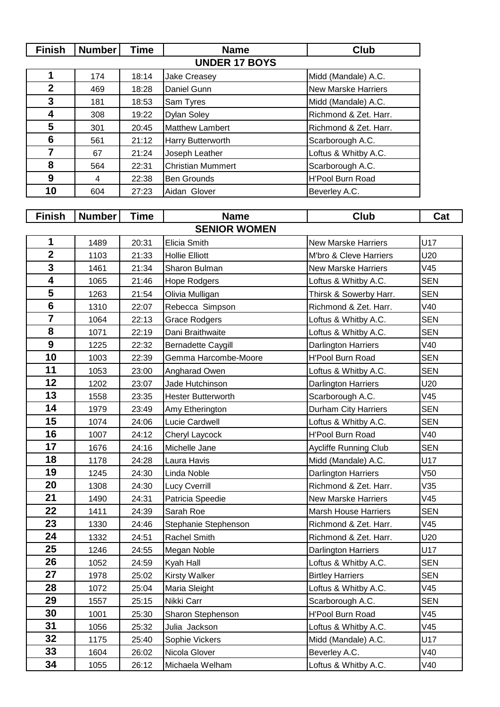| <b>Finish</b>           | Number         | <b>Time</b> | <b>Name</b>               | <b>Club</b>                |            |
|-------------------------|----------------|-------------|---------------------------|----------------------------|------------|
|                         |                |             | <b>UNDER 17 BOYS</b>      |                            |            |
| 1                       | 174            | 18:14       | <b>Jake Creasey</b>       | Midd (Mandale) A.C.        |            |
| $\mathbf{2}$            | 469            | 18:28       | Daniel Gunn               | <b>New Marske Harriers</b> |            |
| 3                       | 181            | 18:53       | Sam Tyres                 | Midd (Mandale) A.C.        |            |
| 4                       | 308            | 19:22       | <b>Dylan Soley</b>        | Richmond & Zet. Harr.      |            |
| 5                       | 301            | 20:45       | <b>Matthew Lambert</b>    | Richmond & Zet. Harr.      |            |
| $6\phantom{1}6$         | 561            | 21:12       | Harry Butterworth         | Scarborough A.C.           |            |
| $\overline{7}$          | 67             | 21:24       | Joseph Leather            | Loftus & Whitby A.C.       |            |
| 8                       | 564            | 22:31       | <b>Christian Mummert</b>  | Scarborough A.C.           |            |
| 9                       | $\overline{4}$ | 22:38       | <b>Ben Grounds</b>        | <b>H'Pool Burn Road</b>    |            |
| 10                      | 604            | 27:23       | Aidan Glover              | Beverley A.C.              |            |
|                         |                |             |                           |                            |            |
| <b>Finish</b>           | <b>Number</b>  | <b>Time</b> | <b>Name</b>               | <b>Club</b>                | Cat        |
|                         |                |             | <b>SENIOR WOMEN</b>       |                            |            |
| 1                       | 1489           | 20:31       | Elicia Smith              | <b>New Marske Harriers</b> | U17        |
| $\overline{\mathbf{2}}$ | 1103           | 21:33       | <b>Hollie Elliott</b>     | M'bro & Cleve Harriers     | U20        |
| 3                       | 1461           | 21:34       | Sharon Bulman             | <b>New Marske Harriers</b> | V45        |
| $\overline{\mathbf{4}}$ | 1065           | 21:46       | Hope Rodgers              | Loftus & Whitby A.C.       | <b>SEN</b> |
| 5                       | 1263           | 21:54       | Olivia Mulligan           | Thirsk & Sowerby Harr.     | <b>SEN</b> |
| $6\phantom{1}$          | 1310           | 22:07       | Rebecca Simpson           | Richmond & Zet. Harr.      | V40        |
| $\overline{7}$          | 1064           | 22:13       | <b>Grace Rodgers</b>      | Loftus & Whitby A.C.       | <b>SEN</b> |
| 8                       | 1071           | 22:19       | Dani Braithwaite          | Loftus & Whitby A.C.       | <b>SEN</b> |
| 9                       | 1225           | 22:32       | <b>Bernadette Caygill</b> | <b>Darlington Harriers</b> | V40        |
| 10                      | 1003           | 22:39       | Gemma Harcombe-Moore      | <b>H'Pool Burn Road</b>    | <b>SEN</b> |
| 11                      | 1053           | 23:00       | Angharad Owen             | Loftus & Whitby A.C.       | <b>SEN</b> |
| 12                      | 1202           | 23:07       | Jade Hutchinson           | Darlington Harriers        | U20        |
| 13                      | 1558           | 23:35       | <b>Hester Butterworth</b> | Scarborough A.C.           | V45        |
| 14                      | 1979           | 23:49       | Amy Etherington           | Durham City Harriers       | <b>SEN</b> |
| 15                      | 1074           | 24:06       | Lucie Cardwell            | Loftus & Whitby A.C.       | <b>SEN</b> |
| 16                      | 1007           | 24.12       | Chervl Lavcock.           | H'Pool Burn Road           | V40        |

|                         |      |       | <b>SENIOR WOMEN</b>       |                             |            |
|-------------------------|------|-------|---------------------------|-----------------------------|------------|
| 1                       | 1489 | 20:31 | Elicia Smith              | <b>New Marske Harriers</b>  | U17        |
| $\overline{\mathbf{2}}$ | 1103 | 21:33 | <b>Hollie Elliott</b>     | M'bro & Cleve Harriers      | U20        |
| $\mathbf{3}$            | 1461 | 21:34 | Sharon Bulman             | <b>New Marske Harriers</b>  | V45        |
| $\overline{\mathbf{4}}$ | 1065 | 21:46 | Hope Rodgers              | Loftus & Whitby A.C.        | <b>SEN</b> |
| 5                       | 1263 | 21:54 | Olivia Mulligan           | Thirsk & Sowerby Harr.      | <b>SEN</b> |
| $6\phantom{1}$          | 1310 | 22:07 | Rebecca Simpson           | Richmond & Zet. Harr.       | V40        |
| $\overline{7}$          | 1064 | 22:13 | <b>Grace Rodgers</b>      | Loftus & Whitby A.C.        | <b>SEN</b> |
| 8                       | 1071 | 22:19 | Dani Braithwaite          | Loftus & Whitby A.C.        | <b>SEN</b> |
| 9                       | 1225 | 22:32 | <b>Bernadette Caygill</b> | <b>Darlington Harriers</b>  | V40        |
| 10                      | 1003 | 22:39 | Gemma Harcombe-Moore      | <b>H'Pool Burn Road</b>     | <b>SEN</b> |
| 11                      | 1053 | 23:00 | Angharad Owen             | Loftus & Whitby A.C.        | <b>SEN</b> |
| 12                      | 1202 | 23:07 | Jade Hutchinson           | Darlington Harriers         | U20        |
| 13                      | 1558 | 23:35 | <b>Hester Butterworth</b> | Scarborough A.C.            | V45        |
| 14                      | 1979 | 23:49 | Amy Etherington           | <b>Durham City Harriers</b> | <b>SEN</b> |
| 15                      | 1074 | 24:06 | Lucie Cardwell            | Loftus & Whitby A.C.        | <b>SEN</b> |
| 16                      | 1007 | 24:12 | Cheryl Laycock            | H'Pool Burn Road            | V40        |
| 17                      | 1676 | 24:16 | Michelle Jane             | Aycliffe Running Club       | <b>SEN</b> |
| 18                      | 1178 | 24:28 | Laura Havis               | Midd (Mandale) A.C.         | U17        |
| 19                      | 1245 | 24:30 | Linda Noble               | <b>Darlington Harriers</b>  | V50        |
| 20                      | 1308 | 24:30 | <b>Lucy Cverrill</b>      | Richmond & Zet. Harr.       | V35        |
| 21                      | 1490 | 24:31 | Patricia Speedie          | <b>New Marske Harriers</b>  | V45        |
| 22                      | 1411 | 24:39 | Sarah Roe                 | <b>Marsh House Harriers</b> | <b>SEN</b> |
| 23                      | 1330 | 24:46 | Stephanie Stephenson      | Richmond & Zet. Harr.       | V45        |
| 24                      | 1332 | 24:51 | Rachel Smith              | Richmond & Zet. Harr.       | U20        |
| 25                      | 1246 | 24:55 | Megan Noble               | Darlington Harriers         | U17        |
| 26                      | 1052 | 24:59 | Kyah Hall                 | Loftus & Whitby A.C.        | <b>SEN</b> |
| 27                      | 1978 | 25:02 | Kirsty Walker             | <b>Birtley Harriers</b>     | <b>SEN</b> |
| 28                      | 1072 | 25:04 | Maria Sleight             | Loftus & Whitby A.C.        | V45        |
| 29                      | 1557 | 25:15 | Nikki Carr                | Scarborough A.C.            | <b>SEN</b> |
| 30                      | 1001 | 25:30 | Sharon Stephenson         | H'Pool Burn Road            | V45        |
| 31                      | 1056 | 25:32 | Julia Jackson             | Loftus & Whitby A.C.        | V45        |
| 32                      | 1175 | 25:40 | Sophie Vickers            | Midd (Mandale) A.C.         | U17        |
| 33                      | 1604 | 26:02 | Nicola Glover             | Beverley A.C.               | V40        |
| 34                      | 1055 | 26:12 | Michaela Welham           | Loftus & Whitby A.C.        | V40        |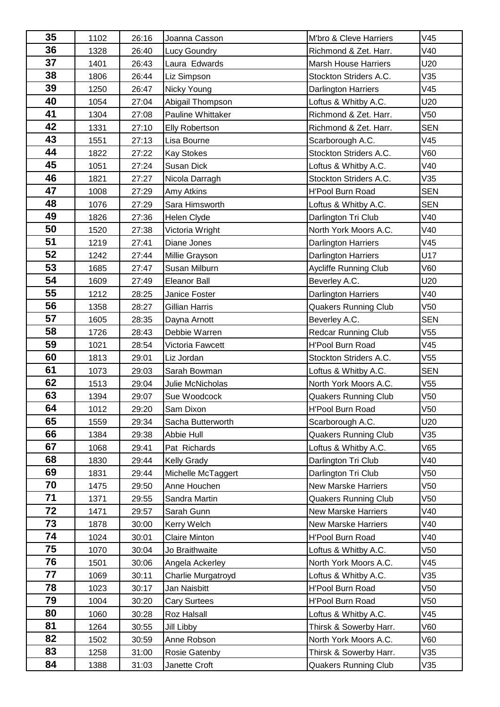| 35 | 1102 | 26:16 | Joanna Casson         | M'bro & Cleve Harriers       | V45             |
|----|------|-------|-----------------------|------------------------------|-----------------|
| 36 | 1328 | 26:40 | <b>Lucy Goundry</b>   | Richmond & Zet. Harr.        | V40             |
| 37 | 1401 | 26:43 | Laura Edwards         | <b>Marsh House Harriers</b>  | U20             |
| 38 | 1806 | 26:44 | Liz Simpson           | Stockton Striders A.C.       | V35             |
| 39 | 1250 | 26:47 | Nicky Young           | Darlington Harriers          | V45             |
| 40 | 1054 | 27:04 | Abigail Thompson      | Loftus & Whitby A.C.         | U20             |
| 41 | 1304 | 27:08 | Pauline Whittaker     | Richmond & Zet. Harr.        | V <sub>50</sub> |
| 42 | 1331 | 27:10 | <b>Elly Robertson</b> | Richmond & Zet. Harr.        | <b>SEN</b>      |
| 43 | 1551 | 27:13 | Lisa Bourne           | Scarborough A.C.             | V45             |
| 44 | 1822 | 27:22 | <b>Kay Stokes</b>     | Stockton Striders A.C.       | V60             |
| 45 | 1051 | 27:24 | Susan Dick            | Loftus & Whitby A.C.         | V40             |
| 46 | 1821 | 27:27 | Nicola Darragh        | Stockton Striders A.C.       | V35             |
| 47 | 1008 | 27:29 | Amy Atkins            | H'Pool Burn Road             | <b>SEN</b>      |
| 48 | 1076 | 27:29 | Sara Himsworth        | Loftus & Whitby A.C.         | <b>SEN</b>      |
| 49 | 1826 | 27:36 | Helen Clyde           | Darlington Tri Club          | V40             |
| 50 | 1520 | 27:38 | Victoria Wright       | North York Moors A.C.        | V40             |
| 51 | 1219 | 27:41 | Diane Jones           | Darlington Harriers          | V45             |
| 52 | 1242 | 27:44 | Millie Grayson        | Darlington Harriers          | U17             |
| 53 | 1685 | 27:47 | Susan Milburn         | <b>Aycliffe Running Club</b> | V60             |
| 54 | 1609 | 27:49 | <b>Eleanor Ball</b>   | Beverley A.C.                | U20             |
| 55 | 1212 | 28:25 | Janice Foster         | <b>Darlington Harriers</b>   | V40             |
| 56 | 1358 | 28:27 | Gillian Harris        | <b>Quakers Running Club</b>  | V50             |
| 57 | 1605 | 28:35 | Dayna Arnott          | Beverley A.C.                | <b>SEN</b>      |
| 58 | 1726 | 28:43 | Debbie Warren         | Redcar Running Club          | V55             |
| 59 | 1021 | 28:54 | Victoria Fawcett      | <b>H'Pool Burn Road</b>      | V45             |
| 60 | 1813 | 29:01 | Liz Jordan            | Stockton Striders A.C.       | V55             |
| 61 | 1073 | 29:03 | Sarah Bowman          | Loftus & Whitby A.C.         | <b>SEN</b>      |
| 62 | 1513 | 29:04 | Julie McNicholas      | North York Moors A.C.        | V <sub>55</sub> |
| 63 | 1394 | 29:07 | Sue Woodcock          | <b>Quakers Running Club</b>  | V50             |
| 64 | 1012 | 29:20 | Sam Dixon             | H'Pool Burn Road             | V <sub>50</sub> |
| 65 | 1559 | 29:34 | Sacha Butterworth     | Scarborough A.C.             | U20             |
| 66 | 1384 | 29:38 | Abbie Hull            | <b>Quakers Running Club</b>  | V35             |
| 67 | 1068 | 29:41 | Pat Richards          | Loftus & Whitby A.C.         | V65             |
| 68 | 1830 | 29:44 | <b>Kelly Grady</b>    | Darlington Tri Club          | V40             |
| 69 | 1831 | 29:44 | Michelle McTaggert    | Darlington Tri Club          | V50             |
| 70 | 1475 | 29:50 | Anne Houchen          | <b>New Marske Harriers</b>   | V50             |
| 71 | 1371 | 29:55 | Sandra Martin         | <b>Quakers Running Club</b>  | V50             |
| 72 | 1471 | 29:57 | Sarah Gunn            | <b>New Marske Harriers</b>   | V40             |
| 73 | 1878 | 30:00 | Kerry Welch           | <b>New Marske Harriers</b>   | V40             |
| 74 | 1024 | 30:01 | <b>Claire Minton</b>  | <b>H'Pool Burn Road</b>      | V40             |
| 75 | 1070 | 30:04 | Jo Braithwaite        | Loftus & Whitby A.C.         | V50             |
| 76 | 1501 | 30:06 | Angela Ackerley       | North York Moors A.C.        | V45             |
| 77 | 1069 | 30:11 | Charlie Murgatroyd    | Loftus & Whitby A.C.         | V35             |
| 78 | 1023 | 30:17 | Jan Naisbitt          | <b>H'Pool Burn Road</b>      | V50             |
| 79 | 1004 | 30:20 | <b>Cary Surtees</b>   | <b>H'Pool Burn Road</b>      | V50             |
| 80 | 1060 | 30:28 | Roz Halsall           | Loftus & Whitby A.C.         | V45             |
| 81 | 1264 | 30:55 | Jill Libby            | Thirsk & Sowerby Harr.       | V60             |
| 82 | 1502 | 30:59 | Anne Robson           | North York Moors A.C.        | <b>V60</b>      |
| 83 | 1258 | 31:00 | Rosie Gatenby         | Thirsk & Sowerby Harr.       | V35             |
| 84 | 1388 | 31:03 | Janette Croft         | <b>Quakers Running Club</b>  | V35             |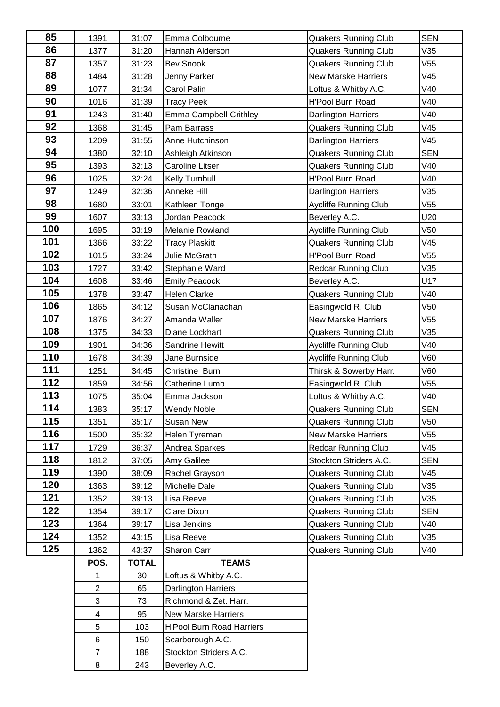| 85  | 1391           | 31:07        | Emma Colbourne                   | <b>Quakers Running Club</b>  | <b>SEN</b>      |
|-----|----------------|--------------|----------------------------------|------------------------------|-----------------|
| 86  | 1377           | 31:20        | Hannah Alderson                  | <b>Quakers Running Club</b>  | V35             |
| 87  | 1357           | 31:23        | <b>Bev Snook</b>                 | <b>Quakers Running Club</b>  | V55             |
| 88  | 1484           | 31:28        | Jenny Parker                     | <b>New Marske Harriers</b>   | V45             |
| 89  | 1077           | 31:34        | Carol Palin                      | Loftus & Whitby A.C.         | V40             |
| 90  | 1016           | 31:39        | <b>Tracy Peek</b>                | H'Pool Burn Road             | V40             |
| 91  | 1243           | 31:40        | Emma Campbell-Crithley           | Darlington Harriers          | V40             |
| 92  | 1368           | 31:45        | Pam Barrass                      | <b>Quakers Running Club</b>  | V45             |
| 93  | 1209           | 31:55        | Anne Hutchinson                  | Darlington Harriers          | V45             |
| 94  | 1380           | 32:10        | Ashleigh Atkinson                | <b>Quakers Running Club</b>  | <b>SEN</b>      |
| 95  | 1393           | 32:13        | <b>Caroline Litser</b>           | <b>Quakers Running Club</b>  | V40             |
| 96  | 1025           | 32:24        | Kelly Turnbull                   | <b>H'Pool Burn Road</b>      | V40             |
| 97  | 1249           | 32:36        | Anneke Hill                      | Darlington Harriers          | V35             |
| 98  | 1680           | 33:01        | Kathleen Tonge                   | <b>Aycliffe Running Club</b> | V <sub>55</sub> |
| 99  | 1607           | 33:13        | Jordan Peacock                   | Beverley A.C.                | U20             |
| 100 | 1695           | 33:19        | Melanie Rowland                  | Aycliffe Running Club        | V50             |
| 101 | 1366           | 33:22        | <b>Tracy Plaskitt</b>            | <b>Quakers Running Club</b>  | V45             |
| 102 | 1015           | 33:24        | Julie McGrath                    | <b>H'Pool Burn Road</b>      | V <sub>55</sub> |
| 103 | 1727           | 33:42        | Stephanie Ward                   | <b>Redcar Running Club</b>   | V35             |
| 104 | 1608           | 33:46        | <b>Emily Peacock</b>             | Beverley A.C.                | U17             |
| 105 | 1378           | 33:47        | <b>Helen Clarke</b>              | <b>Quakers Running Club</b>  | V40             |
| 106 | 1865           | 34:12        | Susan McClanachan                | Easingwold R. Club           | V50             |
| 107 | 1876           | 34:27        | Amanda Waller                    | <b>New Marske Harriers</b>   | V55             |
| 108 | 1375           | 34:33        | Diane Lockhart                   | <b>Quakers Running Club</b>  | V35             |
| 109 | 1901           | 34:36        | Sandrine Hewitt                  | <b>Aycliffe Running Club</b> | V40             |
| 110 | 1678           | 34:39        | Jane Burnside                    | <b>Aycliffe Running Club</b> | V60             |
| 111 | 1251           | 34:45        | Christine Burn                   | Thirsk & Sowerby Harr.       | V60             |
| 112 | 1859           | 34:56        | Catherine Lumb                   | Easingwold R. Club           | V55             |
| 113 | 1075           | 35:04        | Emma Jackson                     | Loftus & Whitby A.C.         | V40             |
| 114 | 1383           | 35:17        | <b>Wendy Noble</b>               | <b>Quakers Running Club</b>  | <b>SEN</b>      |
| 115 | 1351           | 35:17        | Susan New                        | <b>Quakers Running Club</b>  | V50             |
| 116 | 1500           | 35:32        | Helen Tyreman                    | <b>New Marske Harriers</b>   | V55             |
| 117 | 1729           | 36:37        | Andrea Sparkes                   | <b>Redcar Running Club</b>   | V45             |
| 118 | 1812           | 37:05        | Amy Galilee                      | Stockton Striders A.C.       | <b>SEN</b>      |
| 119 | 1390           | 38:09        | Rachel Grayson                   | <b>Quakers Running Club</b>  | V45             |
| 120 | 1363           | 39:12        | Michelle Dale                    | <b>Quakers Running Club</b>  | V35             |
| 121 | 1352           | 39:13        | Lisa Reeve                       | <b>Quakers Running Club</b>  | V35             |
| 122 | 1354           | 39:17        | Clare Dixon                      | <b>Quakers Running Club</b>  | <b>SEN</b>      |
| 123 | 1364           | 39:17        | Lisa Jenkins                     | <b>Quakers Running Club</b>  | V40             |
| 124 | 1352           | 43:15        | Lisa Reeve                       | <b>Quakers Running Club</b>  | V35             |
| 125 | 1362           | 43:37        | Sharon Carr                      | <b>Quakers Running Club</b>  | V40             |
|     | POS.           | <b>TOTAL</b> | <b>TEAMS</b>                     |                              |                 |
|     | $\mathbf{1}$   | 30           | Loftus & Whitby A.C.             |                              |                 |
|     | $\overline{2}$ | 65           | Darlington Harriers              |                              |                 |
|     | 3              | 73           | Richmond & Zet. Harr.            |                              |                 |
|     | 4              | 95           | <b>New Marske Harriers</b>       |                              |                 |
|     | 5              | 103          | <b>H'Pool Burn Road Harriers</b> |                              |                 |
|     | 6              | 150          | Scarborough A.C.                 |                              |                 |
|     | $\overline{7}$ | 188          | Stockton Striders A.C.           |                              |                 |
|     | 8              | 243          | Beverley A.C.                    |                              |                 |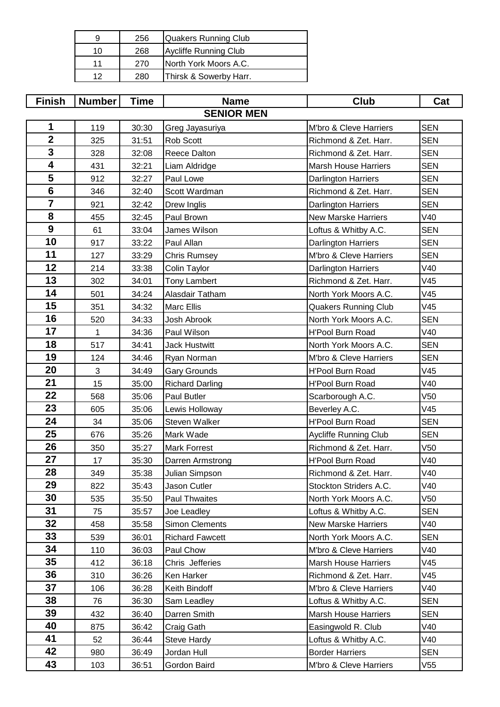| 9  | 256 | Quakers Running Club         |
|----|-----|------------------------------|
| 10 | 268 | <b>Aycliffe Running Club</b> |
| 11 | 270 | North York Moors A.C.        |
| ィク | 280 | Thirsk & Sowerby Harr.       |

| <b>Finish</b>    | <b>Number</b> | Time  | <b>Name</b>            | <b>Club</b>                 | Cat             |
|------------------|---------------|-------|------------------------|-----------------------------|-----------------|
|                  |               |       | <b>SENIOR MEN</b>      |                             |                 |
| 1                | 119           | 30:30 | Greg Jayasuriya        | M'bro & Cleve Harriers      | <b>SEN</b>      |
| $\boldsymbol{2}$ | 325           | 31:51 | <b>Rob Scott</b>       | Richmond & Zet. Harr.       | <b>SEN</b>      |
| 3                | 328           | 32:08 | Reece Dalton           | Richmond & Zet. Harr.       | <b>SEN</b>      |
| 4                | 431           | 32:21 | Liam Aldridge          | <b>Marsh House Harriers</b> | <b>SEN</b>      |
| 5                | 912           | 32:27 | Paul Lowe              | Darlington Harriers         | <b>SEN</b>      |
| $6\phantom{1}$   | 346           | 32:40 | Scott Wardman          | Richmond & Zet. Harr.       | <b>SEN</b>      |
| 7                | 921           | 32:42 | Drew Inglis            | Darlington Harriers         | <b>SEN</b>      |
| 8                | 455           | 32:45 | Paul Brown             | <b>New Marske Harriers</b>  | V40             |
| 9                | 61            | 33:04 | James Wilson           | Loftus & Whitby A.C.        | <b>SEN</b>      |
| 10               | 917           | 33:22 | Paul Allan             | <b>Darlington Harriers</b>  | <b>SEN</b>      |
| 11               | 127           | 33:29 | <b>Chris Rumsey</b>    | M'bro & Cleve Harriers      | <b>SEN</b>      |
| 12               | 214           | 33:38 | Colin Taylor           | <b>Darlington Harriers</b>  | V40             |
| 13               | 302           | 34:01 | <b>Tony Lambert</b>    | Richmond & Zet. Harr.       | V45             |
| 14               | 501           | 34:24 | Alasdair Tatham        | North York Moors A.C.       | V45             |
| 15               | 351           | 34:32 | Marc Ellis             | <b>Quakers Running Club</b> | V45             |
| 16               | 520           | 34:33 | Josh Abrook            | North York Moors A.C.       | <b>SEN</b>      |
| 17               | 1             | 34:36 | Paul Wilson            | <b>H'Pool Burn Road</b>     | V40             |
| 18               | 517           | 34:41 | <b>Jack Hustwitt</b>   | North York Moors A.C.       | <b>SEN</b>      |
| 19               | 124           | 34:46 | Ryan Norman            | M'bro & Cleve Harriers      | <b>SEN</b>      |
| 20               | 3             | 34:49 | <b>Gary Grounds</b>    | <b>H'Pool Burn Road</b>     | V45             |
| 21               | 15            | 35:00 | <b>Richard Darling</b> | <b>H'Pool Burn Road</b>     | V40             |
| 22               | 568           | 35:06 | Paul Butler            | Scarborough A.C.            | V <sub>50</sub> |
| 23               | 605           | 35:06 | Lewis Holloway         | Beverley A.C.               | V45             |
| 24               | 34            | 35:06 | <b>Steven Walker</b>   | <b>H'Pool Burn Road</b>     | <b>SEN</b>      |
| 25               | 676           | 35:26 | Mark Wade              | Aycliffe Running Club       | <b>SEN</b>      |
| 26               | 350           | 35:27 | <b>Mark Forrest</b>    | Richmond & Zet. Harr.       | V50             |
| 27               | 17            | 35:30 | Darren Armstrong       | <b>H'Pool Burn Road</b>     | V40             |
| 28               | 349           | 35:38 | Julian Simpson         | Richmond & Zet. Harr.       | V40             |
| 29               | 822           | 35:43 | Jason Cutler           | Stockton Striders A.C.      | V40             |
| 30               | 535           | 35:50 | Paul Thwaites          | North York Moors A.C.       | V50             |
| 31               | 75            | 35:57 | Joe Leadley            | Loftus & Whitby A.C.        | <b>SEN</b>      |
| 32               | 458           | 35:58 | <b>Simon Clements</b>  | <b>New Marske Harriers</b>  | V40             |
| 33               | 539           | 36:01 | <b>Richard Fawcett</b> | North York Moors A.C.       | <b>SEN</b>      |
| 34               | 110           | 36:03 | Paul Chow              | M'bro & Cleve Harriers      | V40             |
| 35               | 412           | 36:18 | Chris Jefferies        | <b>Marsh House Harriers</b> | V45             |
| 36               | 310           | 36:26 | Ken Harker             | Richmond & Zet. Harr.       | V45             |
| 37               | 106           | 36:28 | Keith Bindoff          | M'bro & Cleve Harriers      | V40             |
| 38               | 76            | 36:30 | Sam Leadley            | Loftus & Whitby A.C.        | <b>SEN</b>      |
| 39               | 432           | 36:40 | Darren Smith           | <b>Marsh House Harriers</b> | <b>SEN</b>      |
| 40               | 875           | 36:42 | Craig Gath             | Easingwold R. Club          | V40             |
| 41               | 52            | 36:44 | <b>Steve Hardy</b>     | Loftus & Whitby A.C.        | V40             |
| 42               | 980           | 36:49 | Jordan Hull            | <b>Border Harriers</b>      | <b>SEN</b>      |
| 43               | 103           | 36:51 | Gordon Baird           | M'bro & Cleve Harriers      | V55             |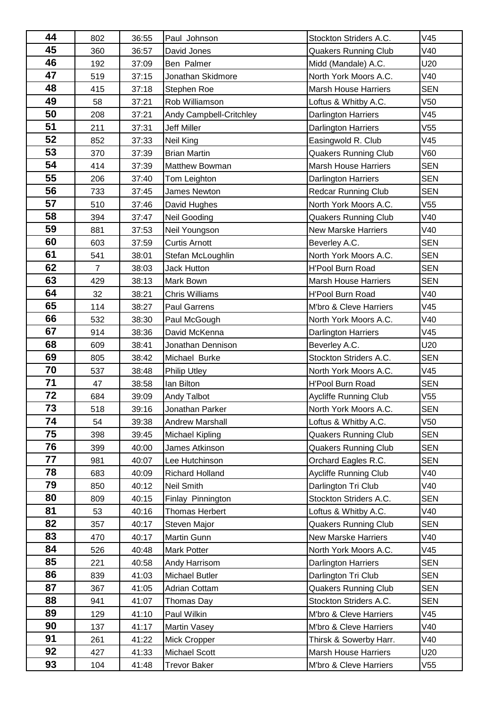| 802            | 36:55                                                                                                                                                                                                                    | Paul Johnson                                                                                                                                                                                                                                                                                          | Stockton Striders A.C.                                                                                                                                                                                                                                                                                                                                                                                                                                                                                                                                                                                                                                                                | V45                                                                                                                                                                                                                                                                                                                                                                                                                                                                                                                                                                                                                                                                                                                                                                                                                                                                                      |
|----------------|--------------------------------------------------------------------------------------------------------------------------------------------------------------------------------------------------------------------------|-------------------------------------------------------------------------------------------------------------------------------------------------------------------------------------------------------------------------------------------------------------------------------------------------------|---------------------------------------------------------------------------------------------------------------------------------------------------------------------------------------------------------------------------------------------------------------------------------------------------------------------------------------------------------------------------------------------------------------------------------------------------------------------------------------------------------------------------------------------------------------------------------------------------------------------------------------------------------------------------------------|------------------------------------------------------------------------------------------------------------------------------------------------------------------------------------------------------------------------------------------------------------------------------------------------------------------------------------------------------------------------------------------------------------------------------------------------------------------------------------------------------------------------------------------------------------------------------------------------------------------------------------------------------------------------------------------------------------------------------------------------------------------------------------------------------------------------------------------------------------------------------------------|
| 360            | 36:57                                                                                                                                                                                                                    | David Jones                                                                                                                                                                                                                                                                                           | <b>Quakers Running Club</b>                                                                                                                                                                                                                                                                                                                                                                                                                                                                                                                                                                                                                                                           | V40                                                                                                                                                                                                                                                                                                                                                                                                                                                                                                                                                                                                                                                                                                                                                                                                                                                                                      |
| 192            | 37:09                                                                                                                                                                                                                    | Ben Palmer                                                                                                                                                                                                                                                                                            | Midd (Mandale) A.C.                                                                                                                                                                                                                                                                                                                                                                                                                                                                                                                                                                                                                                                                   | U20                                                                                                                                                                                                                                                                                                                                                                                                                                                                                                                                                                                                                                                                                                                                                                                                                                                                                      |
| 519            | 37:15                                                                                                                                                                                                                    | Jonathan Skidmore                                                                                                                                                                                                                                                                                     | North York Moors A.C.                                                                                                                                                                                                                                                                                                                                                                                                                                                                                                                                                                                                                                                                 | V40                                                                                                                                                                                                                                                                                                                                                                                                                                                                                                                                                                                                                                                                                                                                                                                                                                                                                      |
| 415            | 37:18                                                                                                                                                                                                                    | Stephen Roe                                                                                                                                                                                                                                                                                           | <b>Marsh House Harriers</b>                                                                                                                                                                                                                                                                                                                                                                                                                                                                                                                                                                                                                                                           | <b>SEN</b>                                                                                                                                                                                                                                                                                                                                                                                                                                                                                                                                                                                                                                                                                                                                                                                                                                                                               |
| 58             | 37:21                                                                                                                                                                                                                    | Rob Williamson                                                                                                                                                                                                                                                                                        | Loftus & Whitby A.C.                                                                                                                                                                                                                                                                                                                                                                                                                                                                                                                                                                                                                                                                  | V <sub>50</sub>                                                                                                                                                                                                                                                                                                                                                                                                                                                                                                                                                                                                                                                                                                                                                                                                                                                                          |
| 208            | 37:21                                                                                                                                                                                                                    | Andy Campbell-Critchley                                                                                                                                                                                                                                                                               | <b>Darlington Harriers</b>                                                                                                                                                                                                                                                                                                                                                                                                                                                                                                                                                                                                                                                            | V45                                                                                                                                                                                                                                                                                                                                                                                                                                                                                                                                                                                                                                                                                                                                                                                                                                                                                      |
| 211            | 37:31                                                                                                                                                                                                                    | <b>Jeff Miller</b>                                                                                                                                                                                                                                                                                    | <b>Darlington Harriers</b>                                                                                                                                                                                                                                                                                                                                                                                                                                                                                                                                                                                                                                                            | V <sub>55</sub>                                                                                                                                                                                                                                                                                                                                                                                                                                                                                                                                                                                                                                                                                                                                                                                                                                                                          |
| 852            | 37:33                                                                                                                                                                                                                    | <b>Neil King</b>                                                                                                                                                                                                                                                                                      | Easingwold R. Club                                                                                                                                                                                                                                                                                                                                                                                                                                                                                                                                                                                                                                                                    | V45                                                                                                                                                                                                                                                                                                                                                                                                                                                                                                                                                                                                                                                                                                                                                                                                                                                                                      |
| 370            | 37:39                                                                                                                                                                                                                    | <b>Brian Martin</b>                                                                                                                                                                                                                                                                                   | <b>Quakers Running Club</b>                                                                                                                                                                                                                                                                                                                                                                                                                                                                                                                                                                                                                                                           | V60                                                                                                                                                                                                                                                                                                                                                                                                                                                                                                                                                                                                                                                                                                                                                                                                                                                                                      |
| 414            | 37:39                                                                                                                                                                                                                    | Matthew Bowman                                                                                                                                                                                                                                                                                        | <b>Marsh House Harriers</b>                                                                                                                                                                                                                                                                                                                                                                                                                                                                                                                                                                                                                                                           | <b>SEN</b>                                                                                                                                                                                                                                                                                                                                                                                                                                                                                                                                                                                                                                                                                                                                                                                                                                                                               |
| 206            | 37:40                                                                                                                                                                                                                    | Tom Leighton                                                                                                                                                                                                                                                                                          | <b>Darlington Harriers</b>                                                                                                                                                                                                                                                                                                                                                                                                                                                                                                                                                                                                                                                            | <b>SEN</b>                                                                                                                                                                                                                                                                                                                                                                                                                                                                                                                                                                                                                                                                                                                                                                                                                                                                               |
| 733            | 37:45                                                                                                                                                                                                                    | James Newton                                                                                                                                                                                                                                                                                          |                                                                                                                                                                                                                                                                                                                                                                                                                                                                                                                                                                                                                                                                                       | <b>SEN</b>                                                                                                                                                                                                                                                                                                                                                                                                                                                                                                                                                                                                                                                                                                                                                                                                                                                                               |
| 510            | 37:46                                                                                                                                                                                                                    |                                                                                                                                                                                                                                                                                                       | North York Moors A.C.                                                                                                                                                                                                                                                                                                                                                                                                                                                                                                                                                                                                                                                                 | V <sub>55</sub>                                                                                                                                                                                                                                                                                                                                                                                                                                                                                                                                                                                                                                                                                                                                                                                                                                                                          |
|                |                                                                                                                                                                                                                          |                                                                                                                                                                                                                                                                                                       |                                                                                                                                                                                                                                                                                                                                                                                                                                                                                                                                                                                                                                                                                       | V40                                                                                                                                                                                                                                                                                                                                                                                                                                                                                                                                                                                                                                                                                                                                                                                                                                                                                      |
|                |                                                                                                                                                                                                                          |                                                                                                                                                                                                                                                                                                       |                                                                                                                                                                                                                                                                                                                                                                                                                                                                                                                                                                                                                                                                                       | V40                                                                                                                                                                                                                                                                                                                                                                                                                                                                                                                                                                                                                                                                                                                                                                                                                                                                                      |
|                |                                                                                                                                                                                                                          |                                                                                                                                                                                                                                                                                                       |                                                                                                                                                                                                                                                                                                                                                                                                                                                                                                                                                                                                                                                                                       | <b>SEN</b>                                                                                                                                                                                                                                                                                                                                                                                                                                                                                                                                                                                                                                                                                                                                                                                                                                                                               |
|                |                                                                                                                                                                                                                          |                                                                                                                                                                                                                                                                                                       |                                                                                                                                                                                                                                                                                                                                                                                                                                                                                                                                                                                                                                                                                       | <b>SEN</b>                                                                                                                                                                                                                                                                                                                                                                                                                                                                                                                                                                                                                                                                                                                                                                                                                                                                               |
| $\overline{7}$ | 38:03                                                                                                                                                                                                                    | Jack Hutton                                                                                                                                                                                                                                                                                           | <b>H'Pool Burn Road</b>                                                                                                                                                                                                                                                                                                                                                                                                                                                                                                                                                                                                                                                               | <b>SEN</b>                                                                                                                                                                                                                                                                                                                                                                                                                                                                                                                                                                                                                                                                                                                                                                                                                                                                               |
| 429            |                                                                                                                                                                                                                          |                                                                                                                                                                                                                                                                                                       | <b>Marsh House Harriers</b>                                                                                                                                                                                                                                                                                                                                                                                                                                                                                                                                                                                                                                                           | <b>SEN</b>                                                                                                                                                                                                                                                                                                                                                                                                                                                                                                                                                                                                                                                                                                                                                                                                                                                                               |
|                |                                                                                                                                                                                                                          |                                                                                                                                                                                                                                                                                                       |                                                                                                                                                                                                                                                                                                                                                                                                                                                                                                                                                                                                                                                                                       | V40                                                                                                                                                                                                                                                                                                                                                                                                                                                                                                                                                                                                                                                                                                                                                                                                                                                                                      |
|                |                                                                                                                                                                                                                          |                                                                                                                                                                                                                                                                                                       |                                                                                                                                                                                                                                                                                                                                                                                                                                                                                                                                                                                                                                                                                       | V45                                                                                                                                                                                                                                                                                                                                                                                                                                                                                                                                                                                                                                                                                                                                                                                                                                                                                      |
|                |                                                                                                                                                                                                                          |                                                                                                                                                                                                                                                                                                       |                                                                                                                                                                                                                                                                                                                                                                                                                                                                                                                                                                                                                                                                                       | V40                                                                                                                                                                                                                                                                                                                                                                                                                                                                                                                                                                                                                                                                                                                                                                                                                                                                                      |
|                |                                                                                                                                                                                                                          |                                                                                                                                                                                                                                                                                                       |                                                                                                                                                                                                                                                                                                                                                                                                                                                                                                                                                                                                                                                                                       | V45                                                                                                                                                                                                                                                                                                                                                                                                                                                                                                                                                                                                                                                                                                                                                                                                                                                                                      |
|                |                                                                                                                                                                                                                          |                                                                                                                                                                                                                                                                                                       |                                                                                                                                                                                                                                                                                                                                                                                                                                                                                                                                                                                                                                                                                       | U20                                                                                                                                                                                                                                                                                                                                                                                                                                                                                                                                                                                                                                                                                                                                                                                                                                                                                      |
|                |                                                                                                                                                                                                                          |                                                                                                                                                                                                                                                                                                       |                                                                                                                                                                                                                                                                                                                                                                                                                                                                                                                                                                                                                                                                                       | <b>SEN</b>                                                                                                                                                                                                                                                                                                                                                                                                                                                                                                                                                                                                                                                                                                                                                                                                                                                                               |
|                |                                                                                                                                                                                                                          |                                                                                                                                                                                                                                                                                                       |                                                                                                                                                                                                                                                                                                                                                                                                                                                                                                                                                                                                                                                                                       | V45                                                                                                                                                                                                                                                                                                                                                                                                                                                                                                                                                                                                                                                                                                                                                                                                                                                                                      |
|                |                                                                                                                                                                                                                          |                                                                                                                                                                                                                                                                                                       |                                                                                                                                                                                                                                                                                                                                                                                                                                                                                                                                                                                                                                                                                       | <b>SEN</b>                                                                                                                                                                                                                                                                                                                                                                                                                                                                                                                                                                                                                                                                                                                                                                                                                                                                               |
|                |                                                                                                                                                                                                                          |                                                                                                                                                                                                                                                                                                       |                                                                                                                                                                                                                                                                                                                                                                                                                                                                                                                                                                                                                                                                                       | V55                                                                                                                                                                                                                                                                                                                                                                                                                                                                                                                                                                                                                                                                                                                                                                                                                                                                                      |
|                |                                                                                                                                                                                                                          |                                                                                                                                                                                                                                                                                                       |                                                                                                                                                                                                                                                                                                                                                                                                                                                                                                                                                                                                                                                                                       | <b>SEN</b>                                                                                                                                                                                                                                                                                                                                                                                                                                                                                                                                                                                                                                                                                                                                                                                                                                                                               |
|                |                                                                                                                                                                                                                          |                                                                                                                                                                                                                                                                                                       |                                                                                                                                                                                                                                                                                                                                                                                                                                                                                                                                                                                                                                                                                       | V <sub>50</sub>                                                                                                                                                                                                                                                                                                                                                                                                                                                                                                                                                                                                                                                                                                                                                                                                                                                                          |
|                |                                                                                                                                                                                                                          |                                                                                                                                                                                                                                                                                                       |                                                                                                                                                                                                                                                                                                                                                                                                                                                                                                                                                                                                                                                                                       | <b>SEN</b>                                                                                                                                                                                                                                                                                                                                                                                                                                                                                                                                                                                                                                                                                                                                                                                                                                                                               |
|                |                                                                                                                                                                                                                          |                                                                                                                                                                                                                                                                                                       |                                                                                                                                                                                                                                                                                                                                                                                                                                                                                                                                                                                                                                                                                       | <b>SEN</b>                                                                                                                                                                                                                                                                                                                                                                                                                                                                                                                                                                                                                                                                                                                                                                                                                                                                               |
|                |                                                                                                                                                                                                                          |                                                                                                                                                                                                                                                                                                       |                                                                                                                                                                                                                                                                                                                                                                                                                                                                                                                                                                                                                                                                                       | <b>SEN</b>                                                                                                                                                                                                                                                                                                                                                                                                                                                                                                                                                                                                                                                                                                                                                                                                                                                                               |
|                |                                                                                                                                                                                                                          |                                                                                                                                                                                                                                                                                                       |                                                                                                                                                                                                                                                                                                                                                                                                                                                                                                                                                                                                                                                                                       | V40                                                                                                                                                                                                                                                                                                                                                                                                                                                                                                                                                                                                                                                                                                                                                                                                                                                                                      |
|                |                                                                                                                                                                                                                          |                                                                                                                                                                                                                                                                                                       |                                                                                                                                                                                                                                                                                                                                                                                                                                                                                                                                                                                                                                                                                       | V40                                                                                                                                                                                                                                                                                                                                                                                                                                                                                                                                                                                                                                                                                                                                                                                                                                                                                      |
|                |                                                                                                                                                                                                                          |                                                                                                                                                                                                                                                                                                       |                                                                                                                                                                                                                                                                                                                                                                                                                                                                                                                                                                                                                                                                                       | <b>SEN</b>                                                                                                                                                                                                                                                                                                                                                                                                                                                                                                                                                                                                                                                                                                                                                                                                                                                                               |
|                |                                                                                                                                                                                                                          |                                                                                                                                                                                                                                                                                                       |                                                                                                                                                                                                                                                                                                                                                                                                                                                                                                                                                                                                                                                                                       | V40                                                                                                                                                                                                                                                                                                                                                                                                                                                                                                                                                                                                                                                                                                                                                                                                                                                                                      |
|                |                                                                                                                                                                                                                          |                                                                                                                                                                                                                                                                                                       |                                                                                                                                                                                                                                                                                                                                                                                                                                                                                                                                                                                                                                                                                       | <b>SEN</b>                                                                                                                                                                                                                                                                                                                                                                                                                                                                                                                                                                                                                                                                                                                                                                                                                                                                               |
|                |                                                                                                                                                                                                                          |                                                                                                                                                                                                                                                                                                       |                                                                                                                                                                                                                                                                                                                                                                                                                                                                                                                                                                                                                                                                                       | V40                                                                                                                                                                                                                                                                                                                                                                                                                                                                                                                                                                                                                                                                                                                                                                                                                                                                                      |
|                |                                                                                                                                                                                                                          |                                                                                                                                                                                                                                                                                                       |                                                                                                                                                                                                                                                                                                                                                                                                                                                                                                                                                                                                                                                                                       | V45                                                                                                                                                                                                                                                                                                                                                                                                                                                                                                                                                                                                                                                                                                                                                                                                                                                                                      |
|                |                                                                                                                                                                                                                          |                                                                                                                                                                                                                                                                                                       |                                                                                                                                                                                                                                                                                                                                                                                                                                                                                                                                                                                                                                                                                       | <b>SEN</b>                                                                                                                                                                                                                                                                                                                                                                                                                                                                                                                                                                                                                                                                                                                                                                                                                                                                               |
|                |                                                                                                                                                                                                                          |                                                                                                                                                                                                                                                                                                       |                                                                                                                                                                                                                                                                                                                                                                                                                                                                                                                                                                                                                                                                                       | <b>SEN</b>                                                                                                                                                                                                                                                                                                                                                                                                                                                                                                                                                                                                                                                                                                                                                                                                                                                                               |
|                |                                                                                                                                                                                                                          |                                                                                                                                                                                                                                                                                                       |                                                                                                                                                                                                                                                                                                                                                                                                                                                                                                                                                                                                                                                                                       | <b>SEN</b>                                                                                                                                                                                                                                                                                                                                                                                                                                                                                                                                                                                                                                                                                                                                                                                                                                                                               |
|                |                                                                                                                                                                                                                          |                                                                                                                                                                                                                                                                                                       |                                                                                                                                                                                                                                                                                                                                                                                                                                                                                                                                                                                                                                                                                       | <b>SEN</b>                                                                                                                                                                                                                                                                                                                                                                                                                                                                                                                                                                                                                                                                                                                                                                                                                                                                               |
|                |                                                                                                                                                                                                                          |                                                                                                                                                                                                                                                                                                       |                                                                                                                                                                                                                                                                                                                                                                                                                                                                                                                                                                                                                                                                                       | V45                                                                                                                                                                                                                                                                                                                                                                                                                                                                                                                                                                                                                                                                                                                                                                                                                                                                                      |
|                |                                                                                                                                                                                                                          |                                                                                                                                                                                                                                                                                                       |                                                                                                                                                                                                                                                                                                                                                                                                                                                                                                                                                                                                                                                                                       | V40                                                                                                                                                                                                                                                                                                                                                                                                                                                                                                                                                                                                                                                                                                                                                                                                                                                                                      |
|                |                                                                                                                                                                                                                          |                                                                                                                                                                                                                                                                                                       |                                                                                                                                                                                                                                                                                                                                                                                                                                                                                                                                                                                                                                                                                       | V40                                                                                                                                                                                                                                                                                                                                                                                                                                                                                                                                                                                                                                                                                                                                                                                                                                                                                      |
|                |                                                                                                                                                                                                                          |                                                                                                                                                                                                                                                                                                       |                                                                                                                                                                                                                                                                                                                                                                                                                                                                                                                                                                                                                                                                                       |                                                                                                                                                                                                                                                                                                                                                                                                                                                                                                                                                                                                                                                                                                                                                                                                                                                                                          |
| 427            | 41:33                                                                                                                                                                                                                    | <b>Michael Scott</b>                                                                                                                                                                                                                                                                                  | <b>Marsh House Harriers</b>                                                                                                                                                                                                                                                                                                                                                                                                                                                                                                                                                                                                                                                           | U20                                                                                                                                                                                                                                                                                                                                                                                                                                                                                                                                                                                                                                                                                                                                                                                                                                                                                      |
|                | 394<br>881<br>603<br>541<br>32<br>114<br>532<br>914<br>609<br>805<br>537<br>47<br>684<br>518<br>54<br>398<br>399<br>981<br>683<br>850<br>809<br>53<br>357<br>470<br>526<br>221<br>839<br>367<br>941<br>129<br>137<br>261 | 37:47<br>37:53<br>37:59<br>38:01<br>38:13<br>38:21<br>38:27<br>38:30<br>38:36<br>38:41<br>38:42<br>38:48<br>38:58<br>39:09<br>39:16<br>39:38<br>39:45<br>40:00<br>40:07<br>40:09<br>40:12<br>40:15<br>40:16<br>40:17<br>40:17<br>40:48<br>40:58<br>41:03<br>41:05<br>41:07<br>41:10<br>41:17<br>41:22 | David Hughes<br><b>Neil Gooding</b><br>Neil Youngson<br><b>Curtis Arnott</b><br>Stefan McLoughlin<br>Mark Bown<br><b>Chris Williams</b><br><b>Paul Garrens</b><br>Paul McGough<br>David McKenna<br>Jonathan Dennison<br>Michael Burke<br><b>Philip Utley</b><br>Ian Bilton<br>Andy Talbot<br>Jonathan Parker<br><b>Andrew Marshall</b><br><b>Michael Kipling</b><br>James Atkinson<br>Lee Hutchinson<br><b>Richard Holland</b><br><b>Neil Smith</b><br>Finlay Pinnington<br><b>Thomas Herbert</b><br>Steven Major<br>Martin Gunn<br><b>Mark Potter</b><br>Andy Harrisom<br><b>Michael Butler</b><br><b>Adrian Cottam</b><br>Thomas Day<br>Paul Wilkin<br>Martin Vasey<br>Mick Cropper | Redcar Running Club<br><b>Quakers Running Club</b><br><b>New Marske Harriers</b><br>Beverley A.C.<br>North York Moors A.C.<br><b>H'Pool Burn Road</b><br>M'bro & Cleve Harriers<br>North York Moors A.C.<br>Darlington Harriers<br>Beverley A.C.<br>Stockton Striders A.C.<br>North York Moors A.C.<br><b>H'Pool Burn Road</b><br>Aycliffe Running Club<br>North York Moors A.C.<br>Loftus & Whitby A.C.<br><b>Quakers Running Club</b><br><b>Quakers Running Club</b><br>Orchard Eagles R.C.<br><b>Aycliffe Running Club</b><br>Darlington Tri Club<br>Stockton Striders A.C.<br>Loftus & Whitby A.C.<br><b>Quakers Running Club</b><br><b>New Marske Harriers</b><br>North York Moors A.C.<br><b>Darlington Harriers</b><br>Darlington Tri Club<br><b>Quakers Running Club</b><br>Stockton Striders A.C.<br>M'bro & Cleve Harriers<br>M'bro & Cleve Harriers<br>Thirsk & Sowerby Harr. |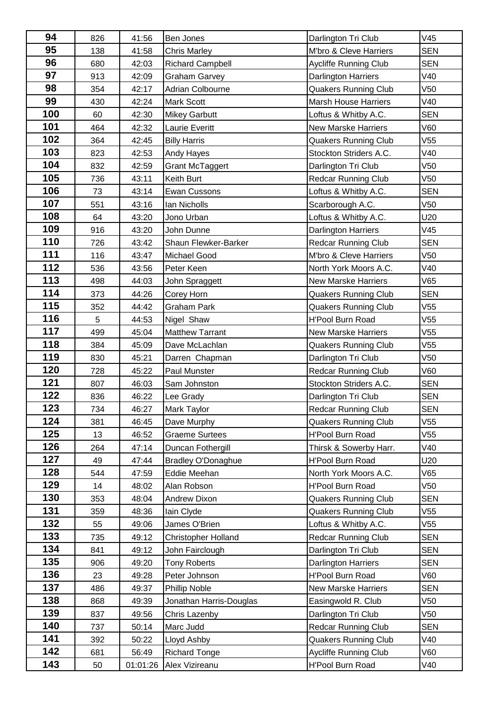| 94  | 826 | 41:56 | Ben Jones                  | Darlington Tri Club          | V45             |
|-----|-----|-------|----------------------------|------------------------------|-----------------|
| 95  | 138 | 41:58 | <b>Chris Marley</b>        | M'bro & Cleve Harriers       | <b>SEN</b>      |
| 96  | 680 | 42:03 | <b>Richard Campbell</b>    | <b>Aycliffe Running Club</b> | <b>SEN</b>      |
| 97  | 913 | 42:09 | <b>Graham Garvey</b>       | Darlington Harriers          | V40             |
| 98  | 354 | 42:17 | Adrian Colbourne           | <b>Quakers Running Club</b>  | V50             |
| 99  | 430 | 42:24 | Mark Scott                 | <b>Marsh House Harriers</b>  | V40             |
| 100 | 60  | 42:30 | <b>Mikey Garbutt</b>       | Loftus & Whitby A.C.         | <b>SEN</b>      |
| 101 | 464 | 42:32 | Laurie Everitt             | <b>New Marske Harriers</b>   | V60             |
| 102 | 364 | 42:45 | <b>Billy Harris</b>        | <b>Quakers Running Club</b>  | V <sub>55</sub> |
| 103 | 823 | 42:53 | <b>Andy Hayes</b>          | Stockton Striders A.C.       | V40             |
| 104 | 832 | 42:59 | <b>Grant McTaggert</b>     | Darlington Tri Club          | V <sub>50</sub> |
| 105 | 736 | 43:11 | Keith Burt                 | <b>Redcar Running Club</b>   | V <sub>50</sub> |
| 106 | 73  | 43:14 | Ewan Cussons               | Loftus & Whitby A.C.         | <b>SEN</b>      |
| 107 | 551 | 43:16 | Ian Nicholls               | Scarborough A.C.             | V <sub>50</sub> |
| 108 | 64  | 43:20 | Jono Urban                 | Loftus & Whitby A.C.         | U20             |
| 109 | 916 | 43:20 | John Dunne                 | Darlington Harriers          | V45             |
| 110 | 726 | 43:42 | Shaun Flewker-Barker       | <b>Redcar Running Club</b>   | <b>SEN</b>      |
| 111 | 116 | 43:47 | Michael Good               | M'bro & Cleve Harriers       | V <sub>50</sub> |
| 112 | 536 | 43:56 | Peter Keen                 | North York Moors A.C.        | V40             |
| 113 | 498 | 44:03 | John Spraggett             | <b>New Marske Harriers</b>   | V65             |
| 114 | 373 | 44:26 | Corey Horn                 | <b>Quakers Running Club</b>  | <b>SEN</b>      |
| 115 | 352 | 44:42 | <b>Graham Park</b>         | <b>Quakers Running Club</b>  | V55             |
| 116 | 5   | 44:53 | Nigel Shaw                 | <b>H'Pool Burn Road</b>      | V55             |
| 117 | 499 | 45:04 | <b>Matthew Tarrant</b>     | <b>New Marske Harriers</b>   | V <sub>55</sub> |
| 118 | 384 | 45:09 | Dave McLachlan             | <b>Quakers Running Club</b>  | V55             |
| 119 | 830 | 45:21 | Darren Chapman             | Darlington Tri Club          | V <sub>50</sub> |
| 120 | 728 | 45:22 | Paul Munster               | <b>Redcar Running Club</b>   | V60             |
| 121 | 807 | 46:03 | Sam Johnston               | Stockton Striders A.C.       | <b>SEN</b>      |
| 122 | 836 | 46:22 | Lee Grady                  | Darlington Tri Club          | <b>SEN</b>      |
| 123 | 734 | 46:27 | Mark Taylor                | Redcar Running Club          | <b>SEN</b>      |
| 124 | 381 | 46:45 | Dave Murphy                | <b>Quakers Running Club</b>  | V <sub>55</sub> |
| 125 | 13  | 46:52 | <b>Graeme Surtees</b>      | H'Pool Burn Road             | V55             |
| 126 | 264 | 47:14 | Duncan Fothergill          | Thirsk & Sowerby Harr.       | V40             |
| 127 | 49  | 47:44 | <b>Bradley O'Donaghue</b>  | <b>H'Pool Burn Road</b>      | U20             |
| 128 | 544 | 47:59 | Eddie Meehan               | North York Moors A.C.        | V65             |
| 129 | 14  | 48:02 | Alan Robson                | <b>H'Pool Burn Road</b>      | V50             |
| 130 | 353 | 48:04 | <b>Andrew Dixon</b>        | <b>Quakers Running Club</b>  | <b>SEN</b>      |
| 131 | 359 | 48:36 | lain Clyde                 | <b>Quakers Running Club</b>  | V55             |
| 132 | 55  | 49:06 | James O'Brien              | Loftus & Whitby A.C.         | V55             |
| 133 | 735 | 49:12 | <b>Christopher Holland</b> | <b>Redcar Running Club</b>   | <b>SEN</b>      |
| 134 | 841 | 49:12 | John Fairclough            | Darlington Tri Club          | <b>SEN</b>      |
| 135 | 906 | 49:20 | <b>Tony Roberts</b>        | Darlington Harriers          | <b>SEN</b>      |
| 136 | 23  | 49:28 | Peter Johnson              | H'Pool Burn Road             | V60             |
| 137 | 486 | 49:37 | <b>Phillip Noble</b>       | <b>New Marske Harriers</b>   | <b>SEN</b>      |
| 138 | 868 | 49:39 | Jonathan Harris-Douglas    | Easingwold R. Club           | V50             |
| 139 | 837 | 49:56 | Chris Lazenby              | Darlington Tri Club          | V50             |
| 140 | 737 | 50:14 | Marc Judd                  | <b>Redcar Running Club</b>   | <b>SEN</b>      |
| 141 | 392 | 50:22 | Lloyd Ashby                | <b>Quakers Running Club</b>  | V40             |
| 142 | 681 | 56:49 | <b>Richard Tonge</b>       | <b>Aycliffe Running Club</b> | V60             |
|     |     |       |                            |                              |                 |